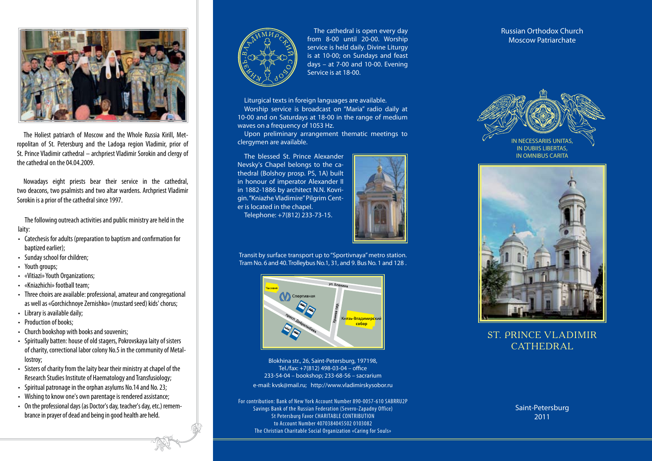

The Holiest patriarch of Moscow and the Whole Russia Kirill, Met ropolitan of St. Petersburg and the Ladoga region Vladimir, prior of St. Prince Vladimir cathedral – archpriest Vladimir Sorokin and clergy of the cathedral on the 04 04 2009

Nowadays eight priests bear their service in the cathedral, two deacons, two psalmists and two altar wardens. Archpriest Vladimir Sorokin is a prior of the cathedral since 1997.

The following outreach activities and public ministry are held in the laity:

- Catechesis for adults (preparation to baptism and confirmation for baptized earlier);
- Sunday school for children;
- Youth groups;
- • «Vitiazi»Youth Organizations;
- «Kniazhichi» football team:
- Three choirs are available: professional, amateur and congregational as well as «Gorchichnoye Zernishko» (mustard seed) kids' chorus;
- Library is available daily;
- Production of books:
- Church bookshop with books and souvenirs:
- Spiritually batten: house of old stagers, Pokrovskaya laity of sisters of charity, correctional labor colony No.5 in the community of Metallostroy;
- Sisters of charity from the laity bear their ministry at chapel of the Research Studies Institute of Haematology and Transfusiology;
- Spiritual patronage in the orphan asylums No.14 and No. 23;
- Wishing to know one's own parentage is rendered assistance;
- On the professional days (as Doctor's day, teacher's day, etc.) remembrance in prayer of dead and being in good health are held.



The cathedral is open every day from 8-00 until 20-00. Worship service is held daily. Divine Liturgy is at 10-00; on Sundays and feast days – at 7-00 and 10-00. Evening Service is at 18-00.

Liturgical texts in foreign languages are available. Worship service is broadcast on "Maria" radio daily at 10-00 and on Saturdays at 18-00 in the range of medium waves on a frequency of 1053 Hz.

Upon preliminary arrangement thematic meetings to clergymen are available.

The blessed St. Prince Alexander Nevsky's Chapel belongs to the ca thedral (Bolshoy prosp. PS, 1A) built in honour of imperator Alexander II in 1882-1886 by architect N.N. Kovri gin. "Kniazhe Vladimire" Pilgrim Cent er is located in the chapel. Telephone: +7(812) 233-73-15.



Transit by surface transport up to "Sportivnaya" metro station. Tram No. 6 and 40. Trolleybus No.1, 31, and 9. Bus No. 1 and 128 .



Blokhina str., 26, Saint-Petersburg, 197198, Tel./fax: +7(812) 498-03-04 – office 233-54-04 – bookshop; 233-68-56 – sacrarium e-mail: kvsk@mail.ru; http://www.vladimirskysobor.ru

For contribution: Bank of New York Account Number 890-0057-610 SABRRU2P Savings Bank of the Russian Federation (Severo-Zapadny Office) St Petersburg Favor CHARITABLE CONTRIBUTION to Account Number 4070384045502 0103082 The Christian Charitable Social Organization «Caring for Souls»

## Russian Orthodox Church Moscow Patriarchate





## ST. PRINCE VLADIMIR CATHEDRAL

Saint-Petersburg 2011